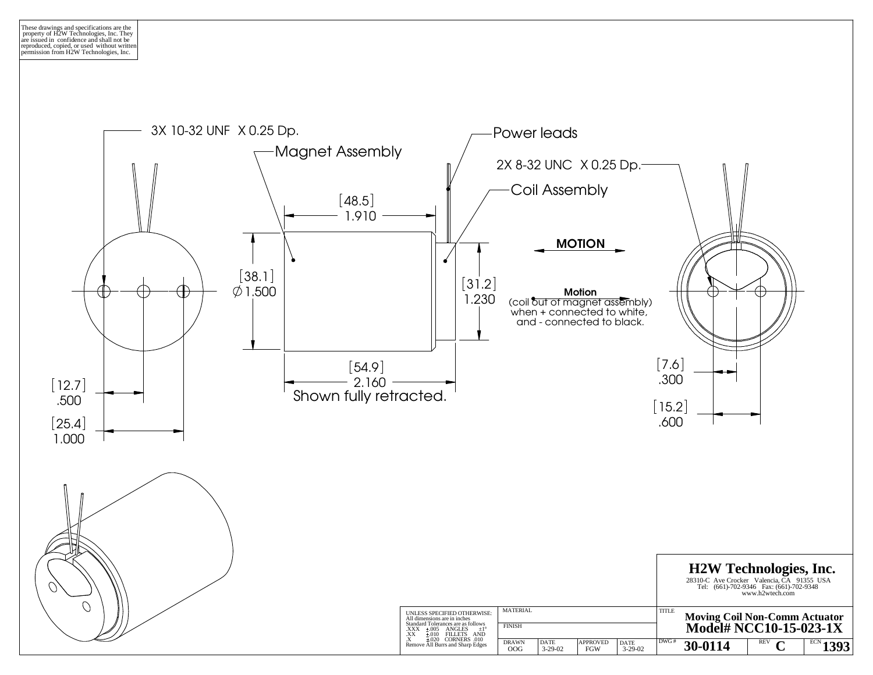